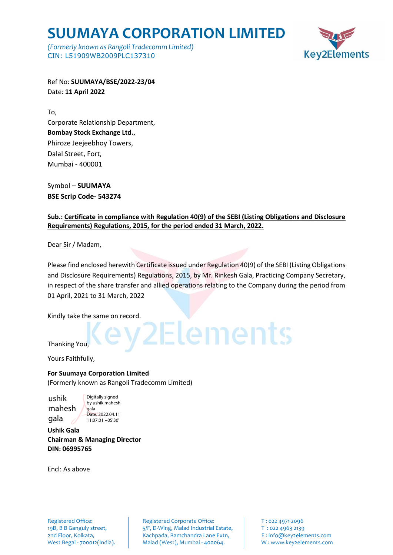## **SUUMAYA CORPORATION LIMITED**

*(Formerly known as Rangoli Tradecomm Limited)* CIN: L51909WB2009PLC137310



Ref No: **SUUMAYA/BSE/2022-23/04** Date: **11 April 2022**

To, Corporate Relationship Department, **Bombay Stock Exchange Ltd.**, Phiroze Jeejeebhoy Towers, Dalal Street, Fort, Mumbai - 400001

Symbol – **SUUMAYA BSE Scrip Code- 543274**

#### **Sub.: Certificate in compliance with Regulation 40(9) of the SEBI (Listing Obligations and Disclosure Requirements) Regulations, 2015, for the period ended 31 March, 2022.**

Dear Sir / Madam,

Please find enclosed herewith Certificate issued under Regulation 40(9) of the SEBI (Listing Obligations and Disclosure Requirements) Regulations, 2015, by Mr. Rinkesh Gala, Practicing Company Secretary, in respect of the share transfer and allied operations relating to the Company during the period from 01 April, 2021 to 31 March, 2022

Elements

Kindly take the same on record.

### Thanking You,

Yours Faithfully,

#### **For Suumaya Corporation Limited**

(Formerly known as Rangoli Tradecomm Limited)

ushik mahesh gala Digitally signed

by ushik mahesh gala Date: 2022.04.11 11:07:01 +05'30'

**Ushik Gala Chairman & Managing Director DIN: 06995765**

Encl: As above

Registered Office: The Registered Corporate Office: T: 022 4971 2096 19B, B B Ganguly street,  $5/F$ , D-Wing, Malad Industrial Estate, T : 022 4963 2139 2nd Floor, Kolkata, **Kachpada, Ramchandra Lane Extn,** E: info@key2elements.com West Begal - 700012(India). Malad (West), Mumbai - 400064. W: www.key2elements.com